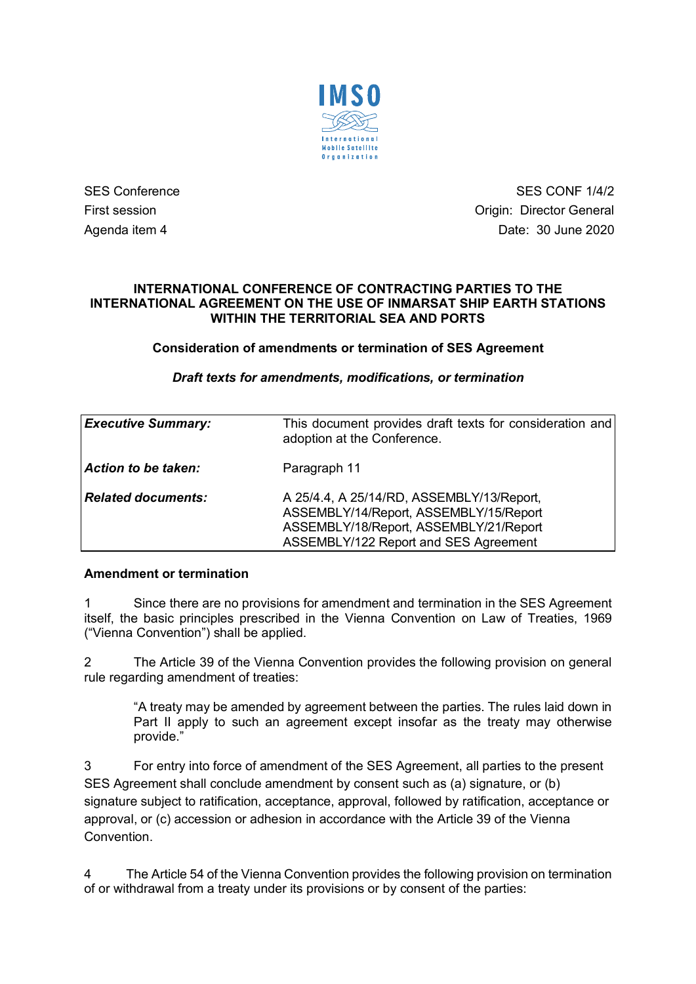

SES Conference SES CONF 1/4/2 First session **Contract Session** Critics of Contract Automateur Contract Origin: Director General Agenda item 4 Date: 30 June 2020

### **INTERNATIONAL CONFERENCE OF CONTRACTING PARTIES TO THE INTERNATIONAL AGREEMENT ON THE USE OF INMARSAT SHIP EARTH STATIONS WITHIN THE TERRITORIAL SEA AND PORTS**

# **Consideration of amendments or termination of SES Agreement**

# *Draft texts for amendments, modifications, or termination*

| <b>Executive Summary:</b> | This document provides draft texts for consideration and<br>adoption at the Conference.                                                                                |
|---------------------------|------------------------------------------------------------------------------------------------------------------------------------------------------------------------|
| Action to be taken:       | Paragraph 11                                                                                                                                                           |
| <b>Related documents:</b> | A 25/4.4, A 25/14/RD, ASSEMBLY/13/Report,<br>ASSEMBLY/14/Report, ASSEMBLY/15/Report<br>ASSEMBLY/18/Report, ASSEMBLY/21/Report<br>ASSEMBLY/122 Report and SES Agreement |

# **Amendment or termination**

1 Since there are no provisions for amendment and termination in the SES Agreement itself, the basic principles prescribed in the Vienna Convention on Law of Treaties, 1969 ("Vienna Convention") shall be applied.

2 The Article 39 of the Vienna Convention provides the following provision on general rule regarding amendment of treaties:

"A treaty may be amended by agreement between the parties. The rules laid down in Part II apply to such an agreement except insofar as the treaty may otherwise provide."

3 For entry into force of amendment of the SES Agreement, all parties to the present SES Agreement shall conclude amendment by consent such as (a) signature, or (b) signature subject to ratification, acceptance, approval, followed by ratification, acceptance or approval, or (c) accession or adhesion in accordance with the Article 39 of the Vienna **Convention** 

4 The Article 54 of the Vienna Convention provides the following provision on termination of or withdrawal from a treaty under its provisions or by consent of the parties: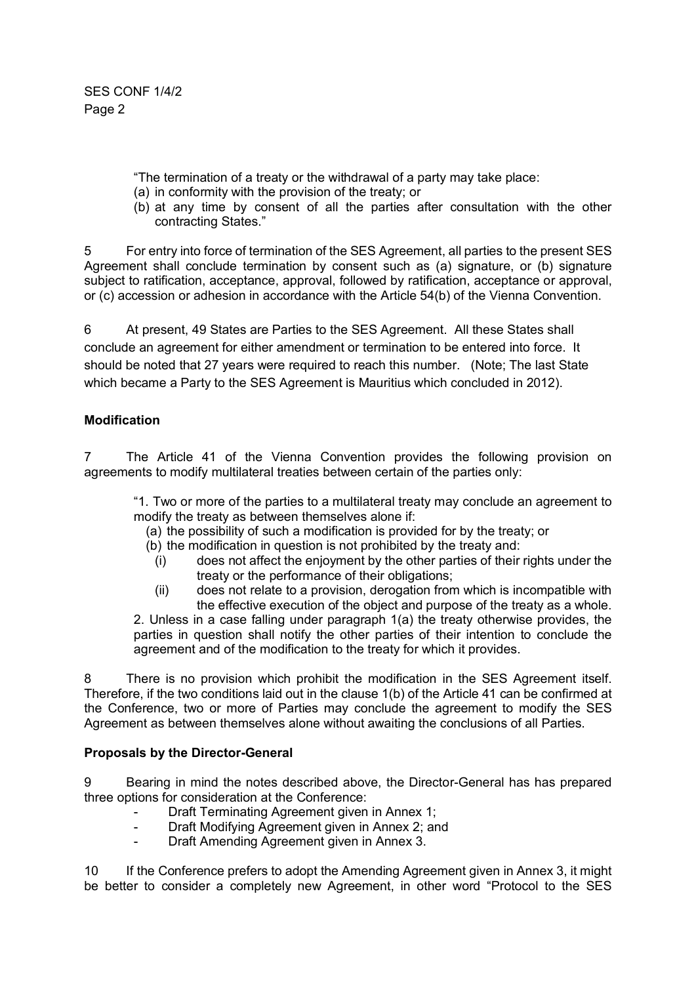SES CONF 1/4/2 Page 2

"The termination of a treaty or the withdrawal of a party may take place:

- (a) in conformity with the provision of the treaty; or
- (b) at any time by consent of all the parties after consultation with the other contracting States."

5 For entry into force of termination of the SES Agreement, all parties to the present SES Agreement shall conclude termination by consent such as (a) signature, or (b) signature subject to ratification, acceptance, approval, followed by ratification, acceptance or approval, or (c) accession or adhesion in accordance with the Article 54(b) of the Vienna Convention.

6 At present, 49 States are Parties to the SES Agreement. All these States shall conclude an agreement for either amendment or termination to be entered into force. It should be noted that 27 years were required to reach this number. (Note; The last State which became a Party to the SES Agreement is Mauritius which concluded in 2012).

# **Modification**

7 The Article 41 of the Vienna Convention provides the following provision on agreements to modify multilateral treaties between certain of the parties only:

"1. Two or more of the parties to a multilateral treaty may conclude an agreement to modify the treaty as between themselves alone if:

- (a) the possibility of such a modification is provided for by the treaty; or
- (b) the modification in question is not prohibited by the treaty and:
	- (i) does not affect the enjoyment by the other parties of their rights under the treaty or the performance of their obligations;
	- (ii) does not relate to a provision, derogation from which is incompatible with the effective execution of the object and purpose of the treaty as a whole.

2. Unless in a case falling under paragraph 1(a) the treaty otherwise provides, the parties in question shall notify the other parties of their intention to conclude the agreement and of the modification to the treaty for which it provides.

8 There is no provision which prohibit the modification in the SES Agreement itself. Therefore, if the two conditions laid out in the clause 1(b) of the Article 41 can be confirmed at the Conference, two or more of Parties may conclude the agreement to modify the SES Agreement as between themselves alone without awaiting the conclusions of all Parties.

# **Proposals by the Director-General**

9 Bearing in mind the notes described above, the Director-General has has prepared three options for consideration at the Conference:

- Draft Terminating Agreement given in Annex 1;
- Draft Modifying Agreement given in Annex 2; and
- Draft Amending Agreement given in Annex 3.

10 If the Conference prefers to adopt the Amending Agreement given in Annex 3, it might be better to consider a completely new Agreement, in other word "Protocol to the SES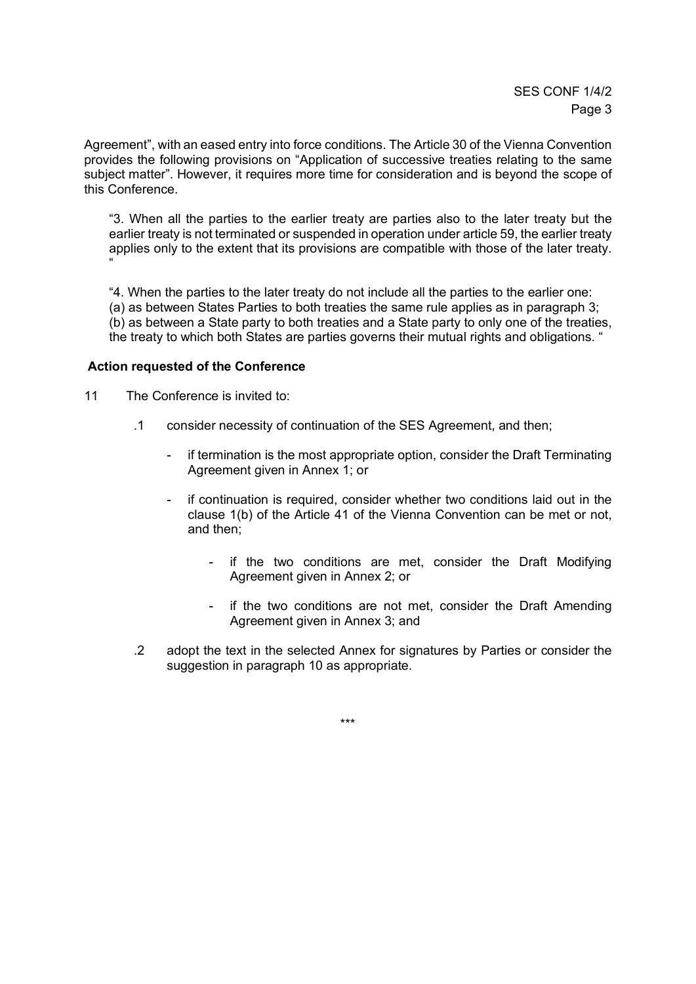Agreement", with an eased entry into force conditions. The Article 30 of the Vienna Convention provides the following provisions on "Application of successive treaties relating to the same subject matter". However, it requires more time for consideration and is beyond the scope of this Conference.

"3. When all the parties to the earlier treaty are parties also to the later treaty but the earlier treaty is not terminated or suspended in operation under article 59, the earlier treaty applies only to the extent that its provisions are compatible with those of the later treaty. "

"4. When the parties to the later treaty do not include all the parties to the earlier one: (a) as between States Parties to both treaties the same rule applies as in paragraph 3;

(b) as between a State party to both treaties and a State party to only one of the treaties, the treaty to which both States are parties governs their mutual rights and obligations. "

# **Action requested of the Conference**

11 The Conference is invited to:

- .1 consider necessity of continuation of the SES Agreement, and then;
	- if termination is the most appropriate option, consider the Draft Terminating Agreement given in Annex 1; or
	- if continuation is required, consider whether two conditions laid out in the clause 1(b) of the Article 41 of the Vienna Convention can be met or not, and then;
		- if the two conditions are met, consider the Draft Modifying Agreement given in Annex 2; or
		- if the two conditions are not met, consider the Draft Amending Agreement given in Annex 3; and
- .2 adopt the text in the selected Annex for signatures by Parties or consider the suggestion in paragraph 10 as appropriate.

\*\*\*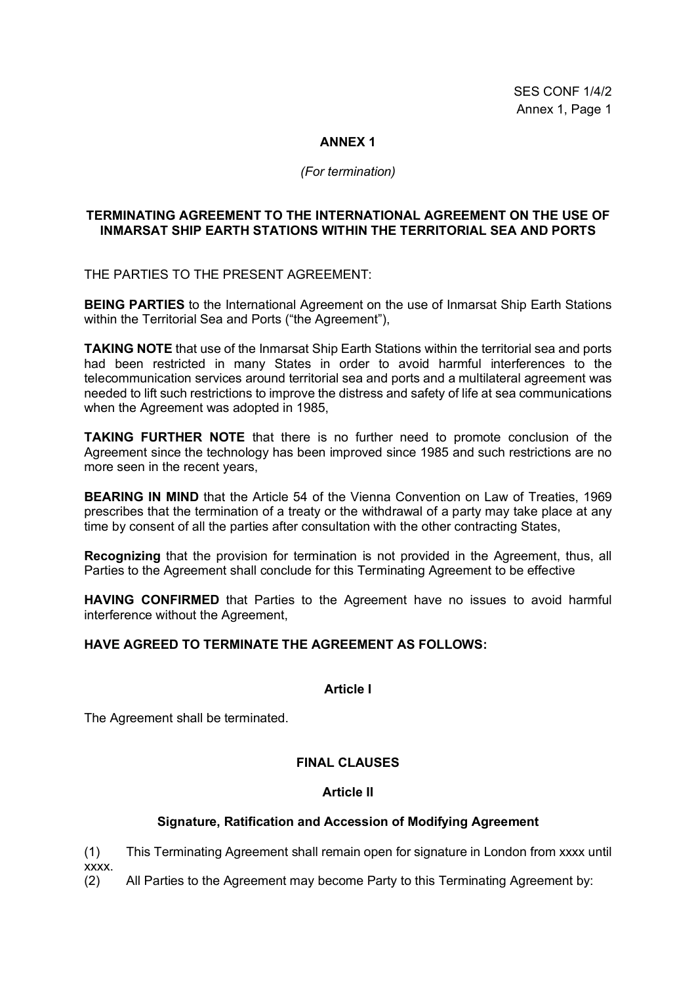### **ANNEX 1**

#### *(For termination)*

#### **TERMINATING AGREEMENT TO THE INTERNATIONAL AGREEMENT ON THE USE OF INMARSAT SHIP EARTH STATIONS WITHIN THE TERRITORIAL SEA AND PORTS**

THE PARTIES TO THE PRESENT AGREEMENT:

**BEING PARTIES** to the International Agreement on the use of Inmarsat Ship Earth Stations within the Territorial Sea and Ports ("the Agreement"),

**TAKING NOTE** that use of the Inmarsat Ship Earth Stations within the territorial sea and ports had been restricted in many States in order to avoid harmful interferences to the telecommunication services around territorial sea and ports and a multilateral agreement was needed to lift such restrictions to improve the distress and safety of life at sea communications when the Agreement was adopted in 1985,

**TAKING FURTHER NOTE** that there is no further need to promote conclusion of the Agreement since the technology has been improved since 1985 and such restrictions are no more seen in the recent years,

**BEARING IN MIND** that the Article 54 of the Vienna Convention on Law of Treaties, 1969 prescribes that the termination of a treaty or the withdrawal of a party may take place at any time by consent of all the parties after consultation with the other contracting States,

**Recognizing** that the provision for termination is not provided in the Agreement, thus, all Parties to the Agreement shall conclude for this Terminating Agreement to be effective

**HAVING CONFIRMED** that Parties to the Agreement have no issues to avoid harmful interference without the Agreement,

#### **HAVE AGREED TO TERMINATE THE AGREEMENT AS FOLLOWS:**

#### **Article I**

The Agreement shall be terminated.

#### **FINAL CLAUSES**

#### **Article II**

#### **Signature, Ratification and Accession of Modifying Agreement**

(1) This Terminating Agreement shall remain open for signature in London from xxxx until xxxx.

(2) All Parties to the Agreement may become Party to this Terminating Agreement by: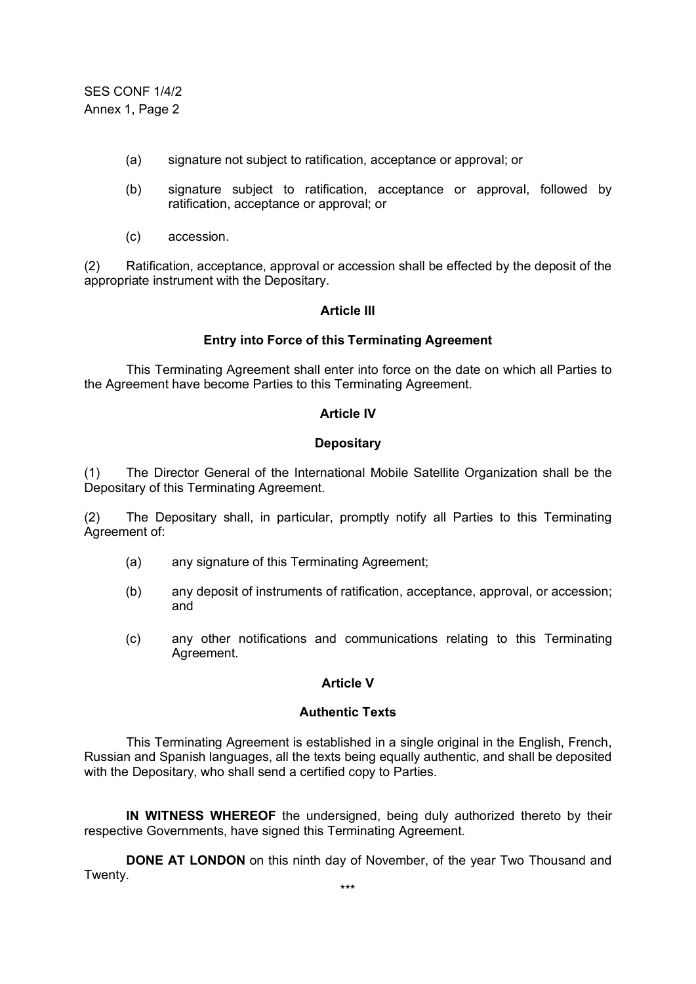SES CONF 1/4/2 Annex 1, Page 2

- (a) signature not subject to ratification, acceptance or approval; or
- (b) signature subject to ratification, acceptance or approval, followed by ratification, acceptance or approval; or
- (c) accession.

(2) Ratification, acceptance, approval or accession shall be effected by the deposit of the appropriate instrument with the Depositary.

#### **Article III**

#### **Entry into Force of this Terminating Agreement**

This Terminating Agreement shall enter into force on the date on which all Parties to the Agreement have become Parties to this Terminating Agreement.

#### **Article IV**

#### **Depositary**

(1) The Director General of the International Mobile Satellite Organization shall be the Depositary of this Terminating Agreement.

(2) The Depositary shall, in particular, promptly notify all Parties to this Terminating Agreement of:

- (a) any signature of this Terminating Agreement;
- (b) any deposit of instruments of ratification, acceptance, approval, or accession; and
- (c) any other notifications and communications relating to this Terminating Agreement.

# **Article V**

#### **Authentic Texts**

This Terminating Agreement is established in a single original in the English, French, Russian and Spanish languages, all the texts being equally authentic, and shall be deposited with the Depositary, who shall send a certified copy to Parties.

**IN WITNESS WHEREOF** the undersigned, being duly authorized thereto by their respective Governments, have signed this Terminating Agreement.

**DONE AT LONDON** on this ninth day of November, of the year Two Thousand and Twenty.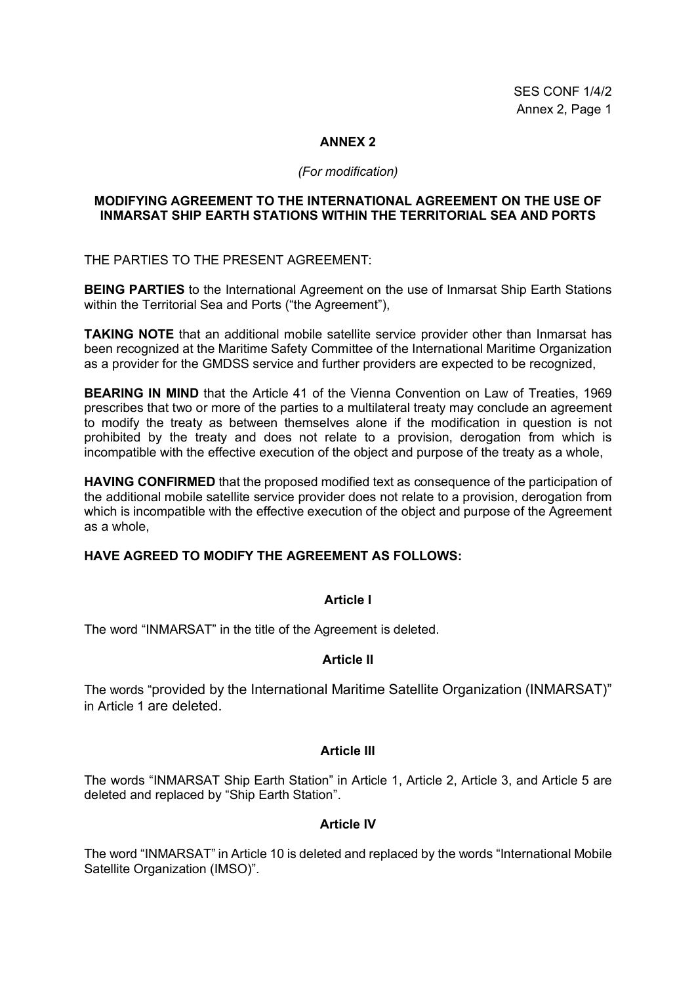### **ANNEX 2**

# *(For modification)*

#### **MODIFYING AGREEMENT TO THE INTERNATIONAL AGREEMENT ON THE USE OF INMARSAT SHIP EARTH STATIONS WITHIN THE TERRITORIAL SEA AND PORTS**

THE PARTIES TO THE PRESENT AGREEMENT:

**BEING PARTIES** to the International Agreement on the use of Inmarsat Ship Earth Stations within the Territorial Sea and Ports ("the Agreement"),

**TAKING NOTE** that an additional mobile satellite service provider other than Inmarsat has been recognized at the Maritime Safety Committee of the International Maritime Organization as a provider for the GMDSS service and further providers are expected to be recognized,

**BEARING IN MIND** that the Article 41 of the Vienna Convention on Law of Treaties, 1969 prescribes that two or more of the parties to a multilateral treaty may conclude an agreement to modify the treaty as between themselves alone if the modification in question is not prohibited by the treaty and does not relate to a provision, derogation from which is incompatible with the effective execution of the object and purpose of the treaty as a whole,

**HAVING CONFIRMED** that the proposed modified text as consequence of the participation of the additional mobile satellite service provider does not relate to a provision, derogation from which is incompatible with the effective execution of the object and purpose of the Agreement as a whole,

# **HAVE AGREED TO MODIFY THE AGREEMENT AS FOLLOWS:**

# **Article I**

The word "INMARSAT" in the title of the Agreement is deleted.

# **Article II**

The words "provided by the International Maritime Satellite Organization (INMARSAT)" in Article 1 are deleted.

# **Article III**

The words "INMARSAT Ship Earth Station" in Article 1, Article 2, Article 3, and Article 5 are deleted and replaced by "Ship Earth Station".

### **Article IV**

The word "INMARSAT" in Article 10 is deleted and replaced by the words "International Mobile Satellite Organization (IMSO)".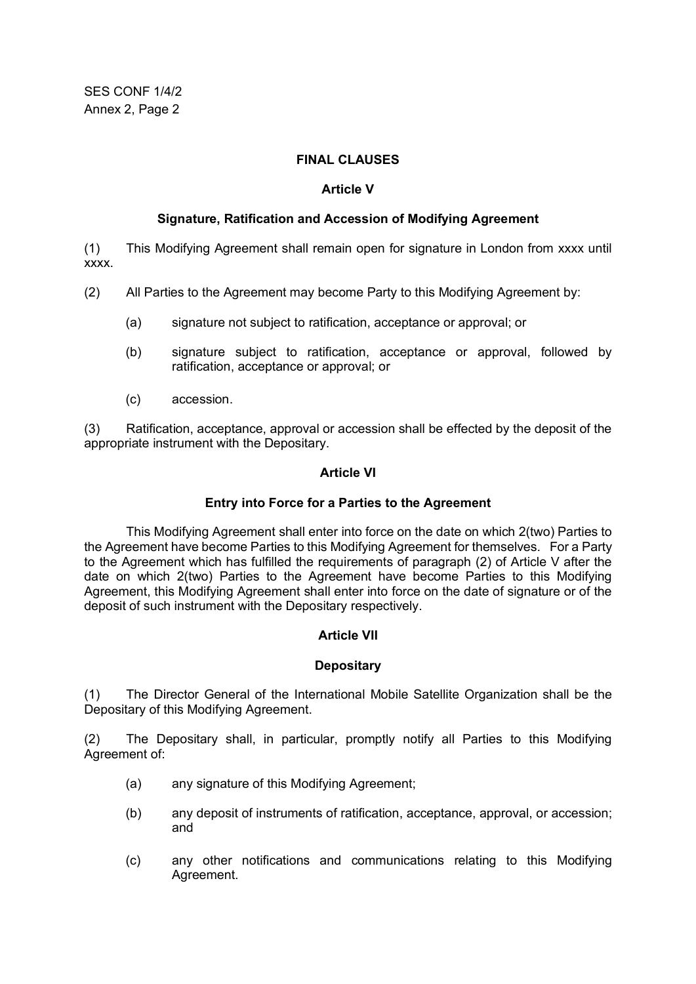# **FINAL CLAUSES**

## **Article V**

#### **Signature, Ratification and Accession of Modifying Agreement**

(1) This Modifying Agreement shall remain open for signature in London from xxxx until xxxx.

- (2) All Parties to the Agreement may become Party to this Modifying Agreement by:
	- (a) signature not subject to ratification, acceptance or approval; or
	- (b) signature subject to ratification, acceptance or approval, followed by ratification, acceptance or approval; or
	- (c) accession.

(3) Ratification, acceptance, approval or accession shall be effected by the deposit of the appropriate instrument with the Depositary.

#### **Article VI**

#### **Entry into Force for a Parties to the Agreement**

This Modifying Agreement shall enter into force on the date on which 2(two) Parties to the Agreement have become Parties to this Modifying Agreement for themselves. For a Party to the Agreement which has fulfilled the requirements of paragraph (2) of Article V after the date on which 2(two) Parties to the Agreement have become Parties to this Modifying Agreement, this Modifying Agreement shall enter into force on the date of signature or of the deposit of such instrument with the Depositary respectively.

# **Article VII**

#### **Depositary**

(1) The Director General of the International Mobile Satellite Organization shall be the Depositary of this Modifying Agreement.

(2) The Depositary shall, in particular, promptly notify all Parties to this Modifying Agreement of:

- (a) any signature of this Modifying Agreement;
- (b) any deposit of instruments of ratification, acceptance, approval, or accession; and
- (c) any other notifications and communications relating to this Modifying Agreement.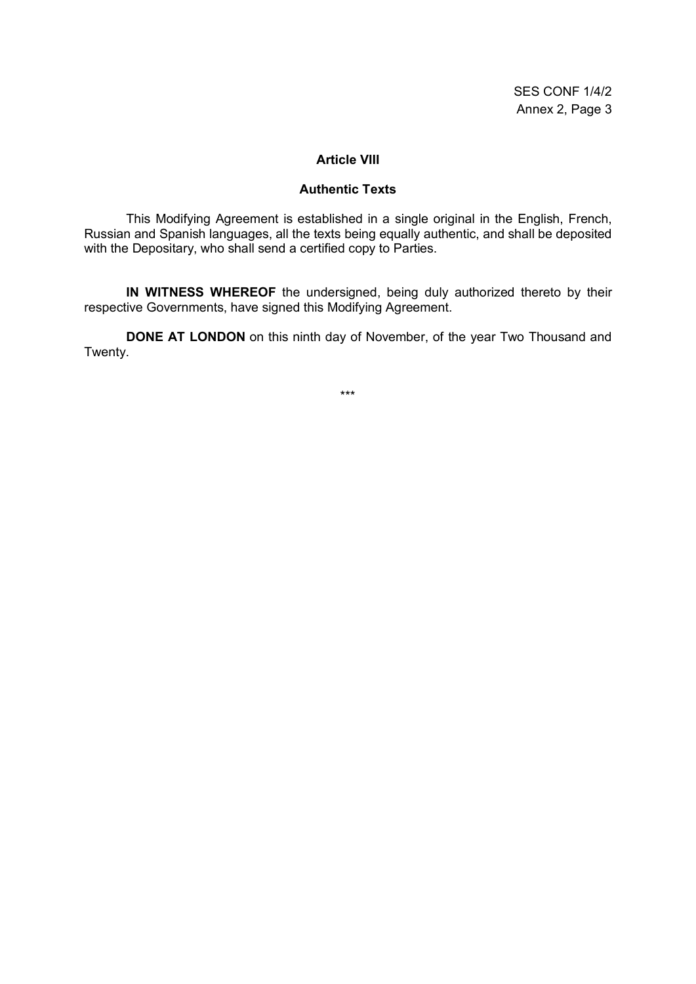#### **Article VIII**

# **Authentic Texts**

This Modifying Agreement is established in a single original in the English, French, Russian and Spanish languages, all the texts being equally authentic, and shall be deposited with the Depositary, who shall send a certified copy to Parties.

**IN WITNESS WHEREOF** the undersigned, being duly authorized thereto by their respective Governments, have signed this Modifying Agreement.

**DONE AT LONDON** on this ninth day of November, of the year Two Thousand and Twenty.

\*\*\*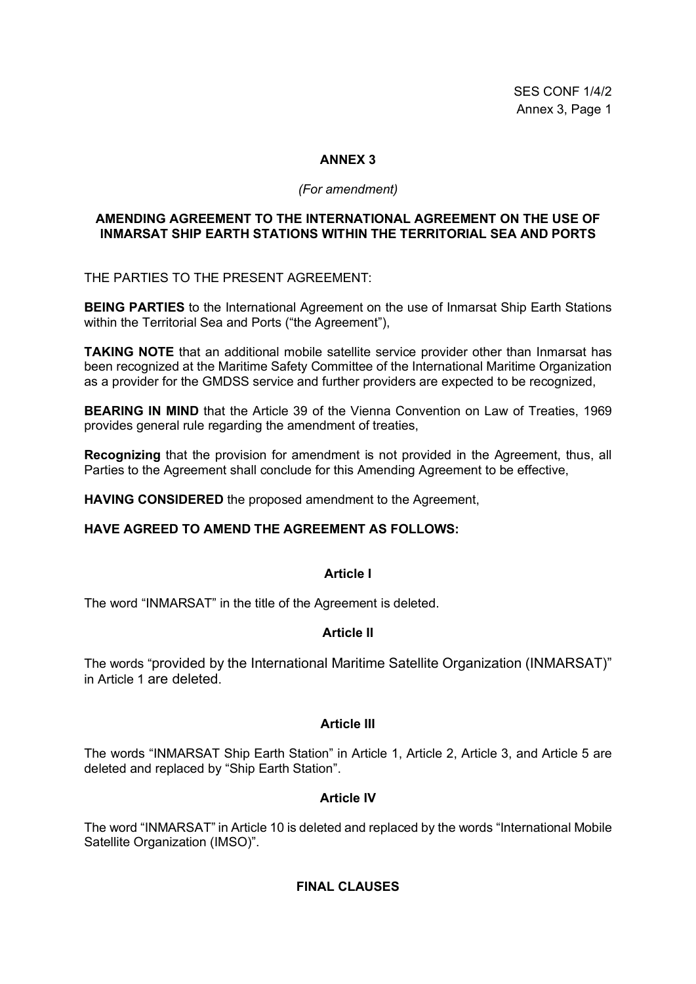SES CONF 1/4/2 Annex 3, Page 1

# **ANNEX 3**

#### *(For amendment)*

### **AMENDING AGREEMENT TO THE INTERNATIONAL AGREEMENT ON THE USE OF INMARSAT SHIP EARTH STATIONS WITHIN THE TERRITORIAL SEA AND PORTS**

THE PARTIES TO THE PRESENT AGREEMENT:

**BEING PARTIES** to the International Agreement on the use of Inmarsat Ship Earth Stations within the Territorial Sea and Ports ("the Agreement"),

**TAKING NOTE** that an additional mobile satellite service provider other than Inmarsat has been recognized at the Maritime Safety Committee of the International Maritime Organization as a provider for the GMDSS service and further providers are expected to be recognized,

**BEARING IN MIND** that the Article 39 of the Vienna Convention on Law of Treaties, 1969 provides general rule regarding the amendment of treaties,

**Recognizing** that the provision for amendment is not provided in the Agreement, thus, all Parties to the Agreement shall conclude for this Amending Agreement to be effective,

**HAVING CONSIDERED** the proposed amendment to the Agreement,

# **HAVE AGREED TO AMEND THE AGREEMENT AS FOLLOWS:**

#### **Article I**

The word "INMARSAT" in the title of the Agreement is deleted.

# **Article II**

The words "provided by the International Maritime Satellite Organization (INMARSAT)" in Article 1 are deleted.

# **Article III**

The words "INMARSAT Ship Earth Station" in Article 1, Article 2, Article 3, and Article 5 are deleted and replaced by "Ship Earth Station".

# **Article IV**

The word "INMARSAT" in Article 10 is deleted and replaced by the words "International Mobile Satellite Organization (IMSO)".

# **FINAL CLAUSES**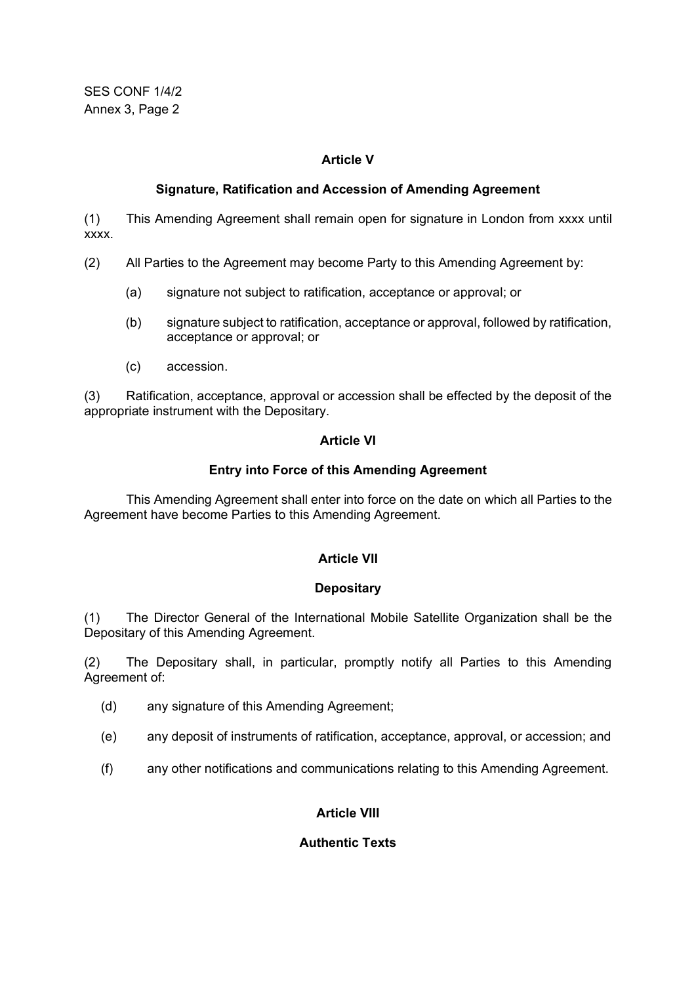SES CONF 1/4/2 Annex 3, Page 2

# **Article V**

# **Signature, Ratification and Accession of Amending Agreement**

(1) This Amending Agreement shall remain open for signature in London from xxxx until xxxx.

- (2) All Parties to the Agreement may become Party to this Amending Agreement by:
	- (a) signature not subject to ratification, acceptance or approval; or
	- (b) signature subject to ratification, acceptance or approval, followed by ratification, acceptance or approval; or
	- (c) accession.

(3) Ratification, acceptance, approval or accession shall be effected by the deposit of the appropriate instrument with the Depositary.

# **Article VI**

# **Entry into Force of this Amending Agreement**

This Amending Agreement shall enter into force on the date on which all Parties to the Agreement have become Parties to this Amending Agreement.

# **Article VII**

# **Depositary**

(1) The Director General of the International Mobile Satellite Organization shall be the Depositary of this Amending Agreement.

(2) The Depositary shall, in particular, promptly notify all Parties to this Amending Agreement of:

- (d) any signature of this Amending Agreement;
- (e) any deposit of instruments of ratification, acceptance, approval, or accession; and
- (f) any other notifications and communications relating to this Amending Agreement.

# **Article VIII**

# **Authentic Texts**